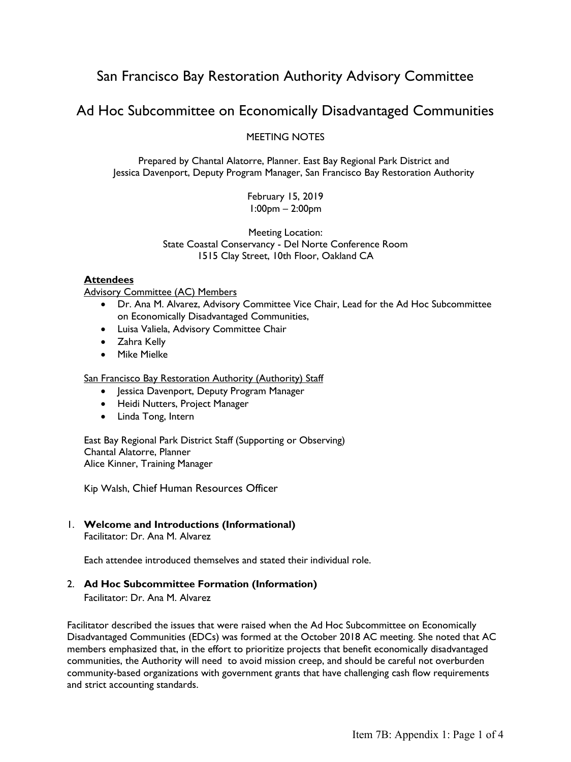# San Francisco Bay Restoration Authority Advisory Committee

# Ad Hoc Subcommittee on Economically Disadvantaged Communities

### MEETING NOTES

Prepared by Chantal Alatorre, Planner. East Bay Regional Park District and Jessica Davenport, Deputy Program Manager, San Francisco Bay Restoration Authority

> February 15, 2019 1:00pm – 2:00pm

Meeting Location: State Coastal Conservancy - Del Norte Conference Room 1515 Clay Street, 10th Floor, Oakland CA

#### **Attendees**

Advisory Committee (AC) Members

- Dr. Ana M. Alvarez, Advisory Committee Vice Chair, Lead for the Ad Hoc Subcommittee on Economically Disadvantaged Communities,
- Luisa Valiela, Advisory Committee Chair
- Zahra Kelly
- Mike Mielke

San Francisco Bay Restoration Authority (Authority) Staff

- Jessica Davenport, Deputy Program Manager
- Heidi Nutters, Project Manager
- Linda Tong, Intern

East Bay Regional Park District Staff (Supporting or Observing) Chantal Alatorre, Planner Alice Kinner, Training Manager

Kip Walsh, Chief Human Resources Officer

#### 1. **Welcome and Introductions (Informational)** Facilitator: Dr. Ana M. Alvarez

Each attendee introduced themselves and stated their individual role.

### 2. **Ad Hoc Subcommittee Formation (Information)**

Facilitator: Dr. Ana M. Alvarez

Facilitator described the issues that were raised when the Ad Hoc Subcommittee on Economically Disadvantaged Communities (EDCs) was formed at the October 2018 AC meeting. She noted that AC members emphasized that, in the effort to prioritize projects that benefit economically disadvantaged communities, the Authority will need to avoid mission creep, and should be careful not overburden community-based organizations with government grants that have challenging cash flow requirements and strict accounting standards.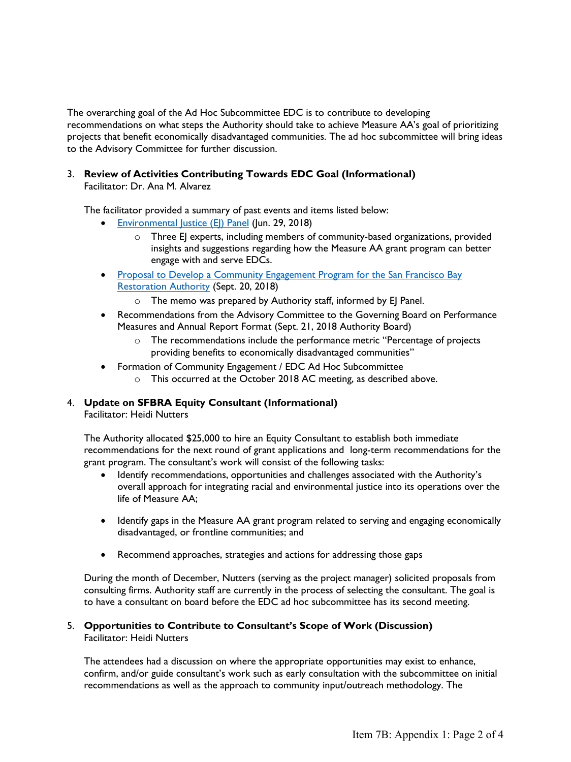The overarching goal of the Ad Hoc Subcommittee EDC is to contribute to developing recommendations on what steps the Authority should take to achieve Measure AA's goal of prioritizing projects that benefit economically disadvantaged communities. The ad hoc subcommittee will bring ideas to the Advisory Committee for further discussion.

#### 3. **Review of Activities Contributing Towards EDC Goal (Informational)**  Facilitator: Dr. Ana M. Alvarez

The facilitator provided a summary of past events and items listed below:

- [Environmental Justice \(EJ\) Panel](http://www.sfbayrestore.org/packets-advisory/2018-10-05/Item%205_Att1_SFBRA%20Environmental%20Justice%20Panel_Notes.pdf) (Jun. 29, 2018)
	- o Three EJ experts, including members of community-based organizations, provided insights and suggestions regarding how the Measure AA grant program can better engage with and serve EDCs.
- Proposal to Develop a Community Engagement Program for the San Francisco Bay [Restoration Authority](http://www.sfbayrestore.org/packets-advisory/2018-10-05/Item%209_Proposal%20to%20Develop%20a%20Community%20Engagement%20Program.pdf) (Sept. 20, 2018)
	- o The memo was prepared by Authority staff, informed by EJ Panel.
- Recommendations from the Advisory Committee to the Governing Board on Performance Measures and Annual Report Format (Sept. 21, 2018 Authority Board)
	- o The recommendations include the performance metric "Percentage of projects providing benefits to economically disadvantaged communities"
- Formation of Community Engagement / EDC Ad Hoc Subcommittee o This occurred at the October 2018 AC meeting, as described above.
- 

## 4. **Update on SFBRA Equity Consultant (Informational)**

Facilitator: Heidi Nutters

The Authority allocated \$25,000 to hire an Equity Consultant to establish both immediate recommendations for the next round of grant applications and long-term recommendations for the grant program. The consultant's work will consist of the following tasks:

- Identify recommendations, opportunities and challenges associated with the Authority's overall approach for integrating racial and environmental justice into its operations over the life of Measure AA;
- Identify gaps in the Measure AA grant program related to serving and engaging economically disadvantaged, or frontline communities; and
- Recommend approaches, strategies and actions for addressing those gaps

During the month of December, Nutters (serving as the project manager) solicited proposals from consulting firms. Authority staff are currently in the process of selecting the consultant. The goal is to have a consultant on board before the EDC ad hoc subcommittee has its second meeting.

#### 5. **Opportunities to Contribute to Consultant's Scope of Work (Discussion)**  Facilitator: Heidi Nutters

The attendees had a discussion on where the appropriate opportunities may exist to enhance, confirm, and/or guide consultant's work such as early consultation with the subcommittee on initial recommendations as well as the approach to community input/outreach methodology. The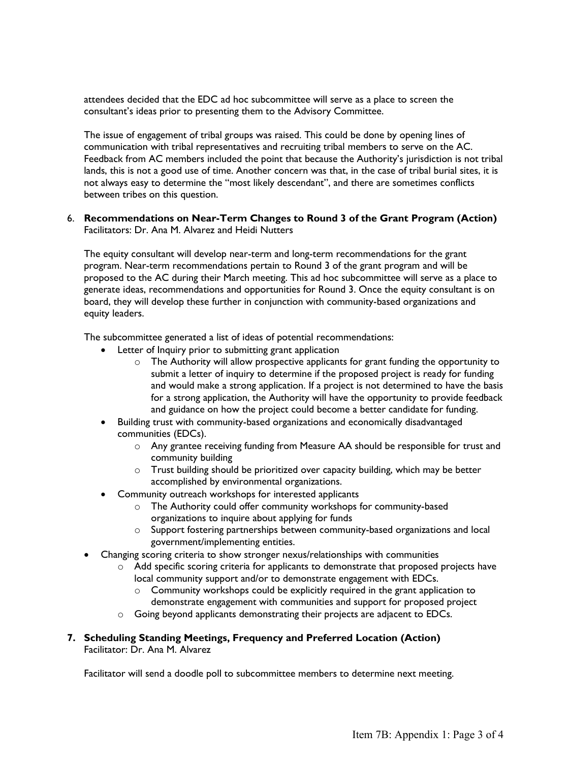attendees decided that the EDC ad hoc subcommittee will serve as a place to screen the consultant's ideas prior to presenting them to the Advisory Committee.

The issue of engagement of tribal groups was raised. This could be done by opening lines of communication with tribal representatives and recruiting tribal members to serve on the AC. Feedback from AC members included the point that because the Authority's jurisdiction is not tribal lands, this is not a good use of time. Another concern was that, in the case of tribal burial sites, it is not always easy to determine the "most likely descendant", and there are sometimes conflicts between tribes on this question.

#### 6. **Recommendations on Near-Term Changes to Round 3 of the Grant Program (Action)**  Facilitators: Dr. Ana M. Alvarez and Heidi Nutters

The equity consultant will develop near-term and long-term recommendations for the grant program. Near-term recommendations pertain to Round 3 of the grant program and will be proposed to the AC during their March meeting. This ad hoc subcommittee will serve as a place to generate ideas, recommendations and opportunities for Round 3. Once the equity consultant is on board, they will develop these further in conjunction with community-based organizations and equity leaders.

The subcommittee generated a list of ideas of potential recommendations:

- Letter of Inquiry prior to submitting grant application
	- o The Authority will allow prospective applicants for grant funding the opportunity to submit a letter of inquiry to determine if the proposed project is ready for funding and would make a strong application. If a project is not determined to have the basis for a strong application, the Authority will have the opportunity to provide feedback and guidance on how the project could become a better candidate for funding.
- Building trust with community-based organizations and economically disadvantaged communities (EDCs).
	- $\circ$  Any grantee receiving funding from Measure AA should be responsible for trust and community building
	- o Trust building should be prioritized over capacity building, which may be better accomplished by environmental organizations.
- Community outreach workshops for interested applicants
	- o The Authority could offer community workshops for community-based organizations to inquire about applying for funds
	- $\circ$  Support fostering partnerships between community-based organizations and local government/implementing entities.
- Changing scoring criteria to show stronger nexus/relationships with communities
	- o Add specific scoring criteria for applicants to demonstrate that proposed projects have local community support and/or to demonstrate engagement with EDCs.
		- o Community workshops could be explicitly required in the grant application to demonstrate engagement with communities and support for proposed project
	- $\circ$  Going beyond applicants demonstrating their projects are adjacent to EDCs.

### **7. Scheduling Standing Meetings, Frequency and Preferred Location (Action)**  Facilitator: Dr. Ana M. Alvarez

Facilitator will send a doodle poll to subcommittee members to determine next meeting.